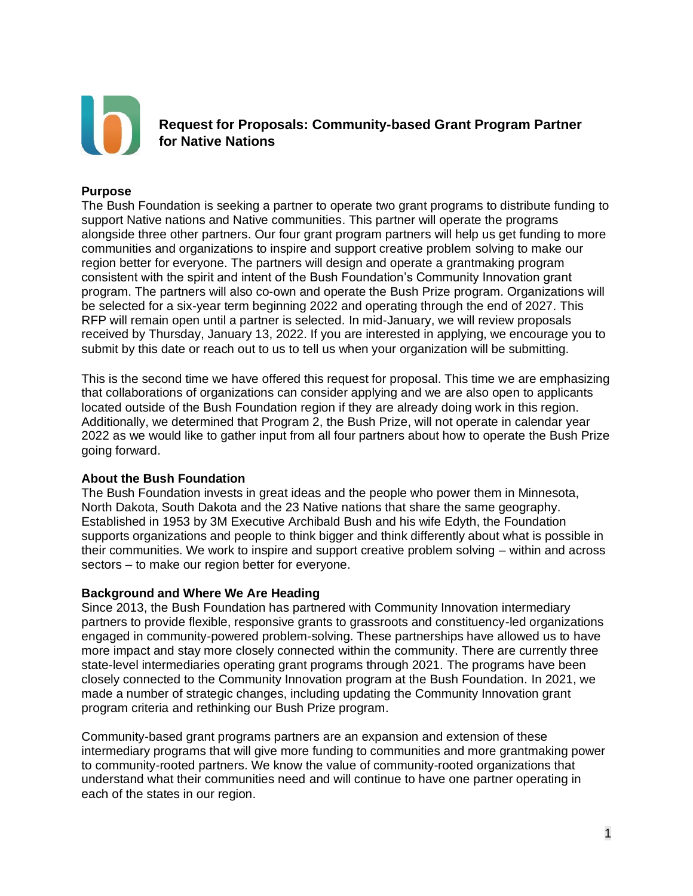

**Request for Proposals: Community-based Grant Program Partner for Native Nations**

### **Purpose**

The Bush Foundation is seeking a partner to operate two grant programs to distribute funding to support Native nations and Native communities. This partner will operate the programs alongside three other partners. Our four grant program partners will help us get funding to more communities and organizations to inspire and support creative problem solving to make our region better for everyone. The partners will design and operate a grantmaking program consistent with the spirit and intent of the Bush Foundation's Community Innovation grant program. The partners will also co-own and operate the Bush Prize program. Organizations will be selected for a six-year term beginning 2022 and operating through the end of 2027. This RFP will remain open until a partner is selected. In mid-January, we will review proposals received by Thursday, January 13, 2022. If you are interested in applying, we encourage you to submit by this date or reach out to us to tell us when your organization will be submitting.

This is the second time we have offered this request for proposal. This time we are emphasizing that collaborations of organizations can consider applying and we are also open to applicants located outside of the Bush Foundation region if they are already doing work in this region. Additionally, we determined that Program 2, the Bush Prize, will not operate in calendar year 2022 as we would like to gather input from all four partners about how to operate the Bush Prize going forward.

#### **About the Bush Foundation**

The Bush Foundation invests in great ideas and the people who power them in Minnesota, North Dakota, South Dakota and the 23 Native nations that share the same geography. Established in 1953 by 3M Executive Archibald Bush and his wife Edyth, the Foundation supports organizations and people to think bigger and think differently about what is possible in their communities. We work to inspire and support creative problem solving – within and across sectors – to make our region better for everyone.

#### **Background and Where We Are Heading**

Since 2013, the Bush Foundation has partnered with Community Innovation intermediary partners to provide flexible, responsive grants to grassroots and constituency-led organizations engaged in community-powered problem-solving. These partnerships have allowed us to have more impact and stay more closely connected within the community. There are currently three state-level intermediaries operating grant programs through 2021. The programs have been closely connected to the Community Innovation program at the Bush Foundation. In 2021, we made a number of strategic changes, including updating the Community Innovation grant program criteria and rethinking our Bush Prize program.

Community-based grant programs partners are an expansion and extension of these intermediary programs that will give more funding to communities and more grantmaking power to community-rooted partners. We know the value of community-rooted organizations that understand what their communities need and will continue to have one partner operating in each of the states in our region.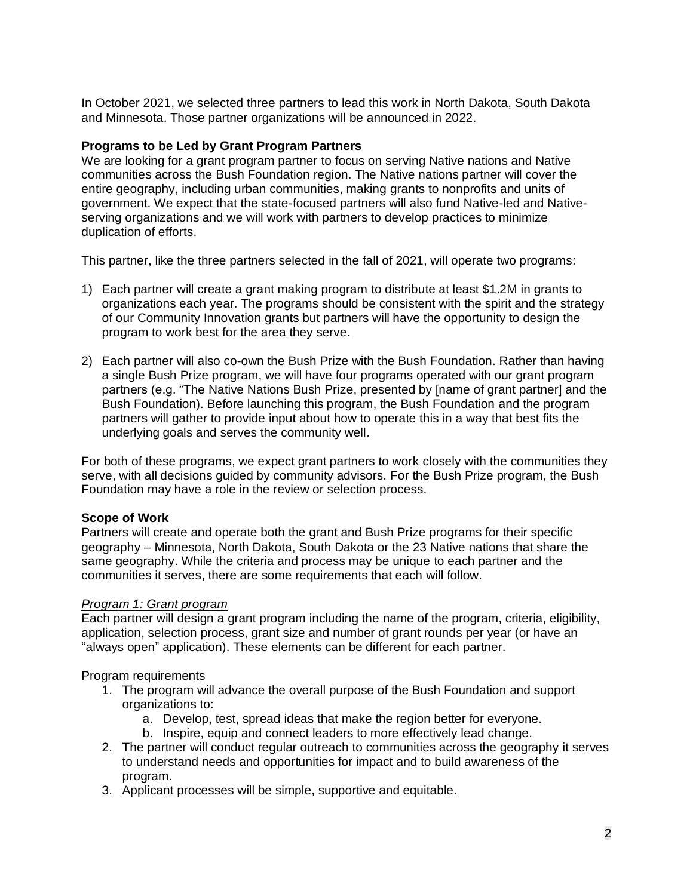In October 2021, we selected three partners to lead this work in North Dakota, South Dakota and Minnesota. Those partner organizations will be announced in 2022.

### **Programs to be Led by Grant Program Partners**

We are looking for a grant program partner to focus on serving Native nations and Native communities across the Bush Foundation region. The Native nations partner will cover the entire geography, including urban communities, making grants to nonprofits and units of government. We expect that the state-focused partners will also fund Native-led and Nativeserving organizations and we will work with partners to develop practices to minimize duplication of efforts.

This partner, like the three partners selected in the fall of 2021, will operate two programs:

- 1) Each partner will create a grant making program to distribute at least \$1.2M in grants to organizations each year. The programs should be consistent with the spirit and the strategy of our Community Innovation grants but partners will have the opportunity to design the program to work best for the area they serve.
- 2) Each partner will also co-own the Bush Prize with the Bush Foundation. Rather than having a single Bush Prize program, we will have four programs operated with our grant program partners (e.g. "The Native Nations Bush Prize, presented by [name of grant partner] and the Bush Foundation). Before launching this program, the Bush Foundation and the program partners will gather to provide input about how to operate this in a way that best fits the underlying goals and serves the community well.

For both of these programs, we expect grant partners to work closely with the communities they serve, with all decisions guided by community advisors. For the Bush Prize program, the Bush Foundation may have a role in the review or selection process.

## **Scope of Work**

Partners will create and operate both the grant and Bush Prize programs for their specific geography – Minnesota, North Dakota, South Dakota or the 23 Native nations that share the same geography. While the criteria and process may be unique to each partner and the communities it serves, there are some requirements that each will follow.

#### *Program 1: Grant program*

Each partner will design a grant program including the name of the program, criteria, eligibility, application, selection process, grant size and number of grant rounds per year (or have an "always open" application). These elements can be different for each partner.

#### Program requirements

- 1. The program will advance the overall purpose of the Bush Foundation and support organizations to:
	- a. Develop, test, spread ideas that make the region better for everyone.
	- b. Inspire, equip and connect leaders to more effectively lead change.
- 2. The partner will conduct regular outreach to communities across the geography it serves to understand needs and opportunities for impact and to build awareness of the program.
- 3. Applicant processes will be simple, supportive and equitable.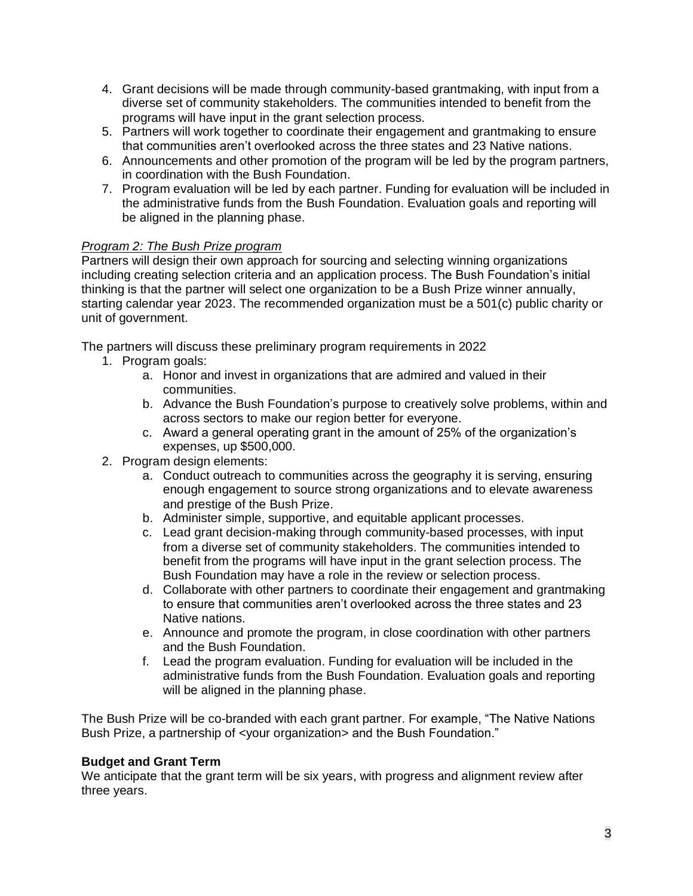- 4. Grant decisions will be made through community-based grantmaking, with input from a diverse set of community stakeholders. The communities intended to benefit from the programs will have input in the grant selection process.
- 5. Partners will work together to coordinate their engagement and grantmaking to ensure that communities aren't overlooked across the three states and 23 Native nations.
- 6. Announcements and other promotion of the program will be led by the program partners, in coordination with the Bush Foundation.
- 7. Program evaluation will be led by each partner. Funding for evaluation will be included in the administrative funds from the Bush Foundation. Evaluation goals and reporting will be aligned in the planning phase.

# *Program 2: The Bush Prize program*

Partners will design their own approach for sourcing and selecting winning organizations including creating selection criteria and an application process. The Bush Foundation's initial thinking is that the partner will select one organization to be a Bush Prize winner annually, starting calendar year 2023. The recommended organization must be a 501(c) public charity or unit of government.

The partners will discuss these preliminary program requirements in 2022

- 1. Program goals:
	- a. Honor and invest in organizations that are admired and valued in their communities.
	- b. Advance the Bush Foundation's purpose to creatively solve problems, within and across sectors to make our region better for everyone.
	- c. Award a general operating grant in the amount of 25% of the organization's expenses, up \$500,000.
- 2. Program design elements:
	- a. Conduct outreach to communities across the geography it is serving, ensuring enough engagement to source strong organizations and to elevate awareness and prestige of the Bush Prize.
	- b. Administer simple, supportive, and equitable applicant processes.
	- c. Lead grant decision-making through community-based processes, with input from a diverse set of community stakeholders. The communities intended to benefit from the programs will have input in the grant selection process. The Bush Foundation may have a role in the review or selection process.
	- d. Collaborate with other partners to coordinate their engagement and grantmaking to ensure that communities aren't overlooked across the three states and 23 Native nations.
	- e. Announce and promote the program, in close coordination with other partners and the Bush Foundation.
	- f. Lead the program evaluation. Funding for evaluation will be included in the administrative funds from the Bush Foundation. Evaluation goals and reporting will be aligned in the planning phase.

The Bush Prize will be co-branded with each grant partner. For example, "The Native Nations Bush Prize, a partnership of <your organization> and the Bush Foundation."

## **Budget and Grant Term**

We anticipate that the grant term will be six years, with progress and alignment review after three years.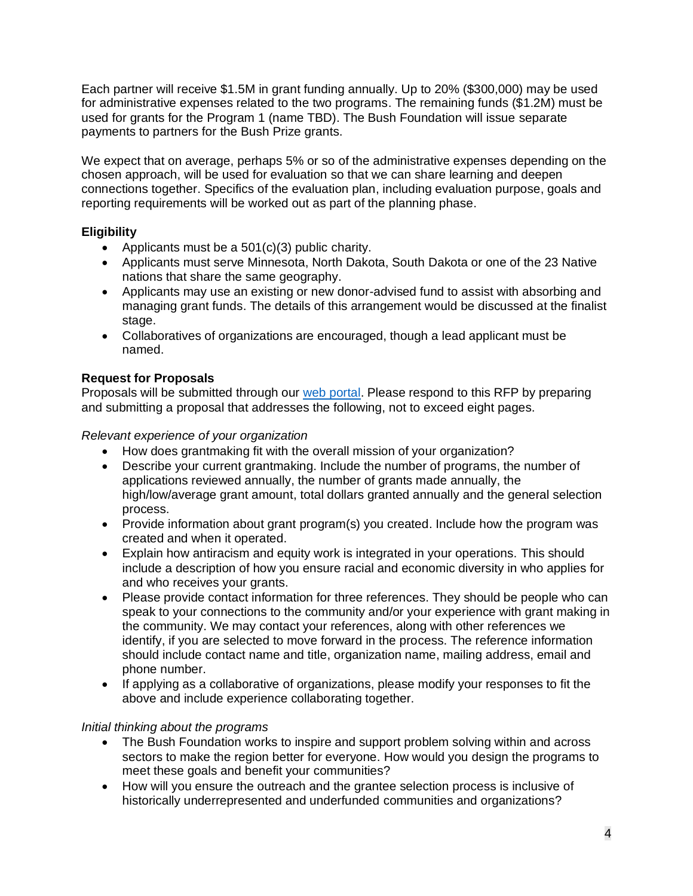Each partner will receive \$1.5M in grant funding annually. Up to 20% (\$300,000) may be used for administrative expenses related to the two programs. The remaining funds (\$1.2M) must be used for grants for the Program 1 (name TBD). The Bush Foundation will issue separate payments to partners for the Bush Prize grants.

We expect that on average, perhaps 5% or so of the administrative expenses depending on the chosen approach, will be used for evaluation so that we can share learning and deepen connections together. Specifics of the evaluation plan, including evaluation purpose, goals and reporting requirements will be worked out as part of the planning phase.

# **Eligibility**

- Applicants must be a 501(c)(3) public charity.
- Applicants must serve Minnesota, North Dakota, South Dakota or one of the 23 Native nations that share the same geography.
- Applicants may use an existing or new donor-advised fund to assist with absorbing and managing grant funds. The details of this arrangement would be discussed at the finalist stage.
- Collaboratives of organizations are encouraged, though a lead applicant must be named.

# **Request for Proposals**

Proposals will be submitted through our [web portal.](https://www.tfaforms.com/4900802) Please respond to this RFP by preparing and submitting a proposal that addresses the following, not to exceed eight pages.

# *Relevant experience of your organization*

- How does grantmaking fit with the overall mission of your organization?
- Describe your current grantmaking. Include the number of programs, the number of applications reviewed annually, the number of grants made annually, the high/low/average grant amount, total dollars granted annually and the general selection process.
- Provide information about grant program(s) you created. Include how the program was created and when it operated.
- Explain how antiracism and equity work is integrated in your operations. This should include a description of how you ensure racial and economic diversity in who applies for and who receives your grants.
- Please provide contact information for three references. They should be people who can speak to your connections to the community and/or your experience with grant making in the community. We may contact your references, along with other references we identify, if you are selected to move forward in the process. The reference information should include contact name and title, organization name, mailing address, email and phone number.
- If applying as a collaborative of organizations, please modify your responses to fit the above and include experience collaborating together.

# *Initial thinking about the programs*

- The Bush Foundation works to inspire and support problem solving within and across sectors to make the region better for everyone. How would you design the programs to meet these goals and benefit your communities?
- How will you ensure the outreach and the grantee selection process is inclusive of historically underrepresented and underfunded communities and organizations?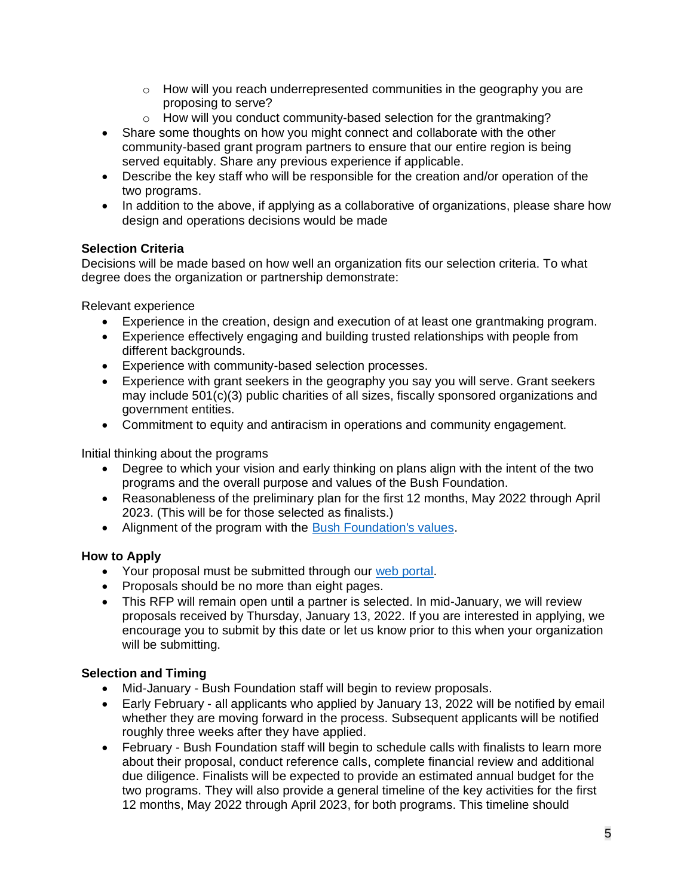- $\circ$  How will you reach underrepresented communities in the geography you are proposing to serve?
- o How will you conduct community-based selection for the grantmaking?
- Share some thoughts on how you might connect and collaborate with the other community-based grant program partners to ensure that our entire region is being served equitably. Share any previous experience if applicable.
- Describe the key staff who will be responsible for the creation and/or operation of the two programs.
- In addition to the above, if applying as a collaborative of organizations, please share how design and operations decisions would be made

## **Selection Criteria**

Decisions will be made based on how well an organization fits our selection criteria. To what degree does the organization or partnership demonstrate:

Relevant experience

- Experience in the creation, design and execution of at least one grantmaking program.
- Experience effectively engaging and building trusted relationships with people from different backgrounds.
- Experience with community-based selection processes.
- Experience with grant seekers in the geography you say you will serve. Grant seekers may include 501(c)(3) public charities of all sizes, fiscally sponsored organizations and government entities.
- Commitment to equity and antiracism in operations and community engagement.

Initial thinking about the programs

- Degree to which your vision and early thinking on plans align with the intent of the two programs and the overall purpose and values of the Bush Foundation.
- Reasonableness of the preliminary plan for the first 12 months, May 2022 through April 2023. (This will be for those selected as finalists.)
- Alignment of the program with the [Bush Foundation's values.](https://www.bushfoundation.org/our-values)

# **How to Apply**

- Your proposal must be submitted through our [web portal.](https://www.tfaforms.com/4900802)
- Proposals should be no more than eight pages.
- This RFP will remain open until a partner is selected. In mid-January, we will review proposals received by Thursday, January 13, 2022. If you are interested in applying, we encourage you to submit by this date or let us know prior to this when your organization will be submitting.

## **Selection and Timing**

- Mid-January Bush Foundation staff will begin to review proposals.
- Early February all applicants who applied by January 13, 2022 will be notified by email whether they are moving forward in the process. Subsequent applicants will be notified roughly three weeks after they have applied.
- February Bush Foundation staff will begin to schedule calls with finalists to learn more about their proposal, conduct reference calls, complete financial review and additional due diligence. Finalists will be expected to provide an estimated annual budget for the two programs. They will also provide a general timeline of the key activities for the first 12 months, May 2022 through April 2023, for both programs. This timeline should